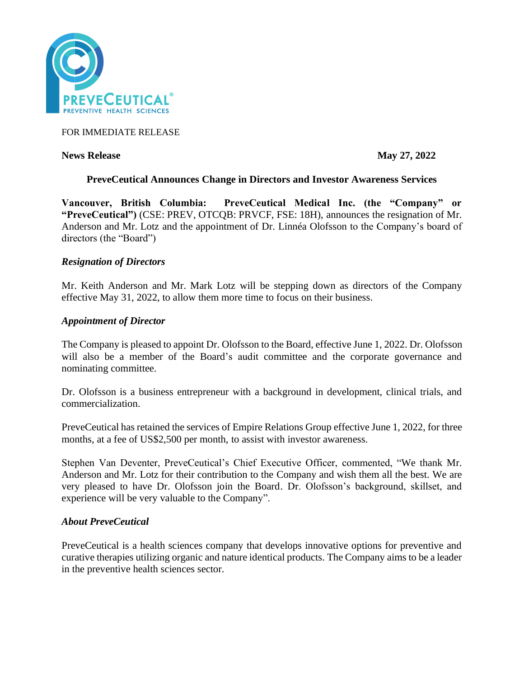

## FOR IMMEDIATE RELEASE

### **News Release May 27, 2022**

# **PreveCeutical Announces Change in Directors and Investor Awareness Services**

**Vancouver, British Columbia: PreveCeutical Medical Inc. (the "Company" or "PreveCeutical")** (CSE: PREV, OTCQB: PRVCF, FSE: 18H), announces the resignation of Mr. Anderson and Mr. Lotz and the appointment of Dr. Linnéa Olofsson to the Company's board of directors (the "Board")

### *Resignation of Directors*

Mr. Keith Anderson and Mr. Mark Lotz will be stepping down as directors of the Company effective May 31, 2022, to allow them more time to focus on their business.

### *Appointment of Director*

The Company is pleased to appoint Dr. Olofsson to the Board, effective June 1, 2022. Dr. Olofsson will also be a member of the Board's audit committee and the corporate governance and nominating committee.

Dr. Olofsson is a business entrepreneur with a background in development, clinical trials, and commercialization.

PreveCeutical has retained the services of Empire Relations Group effective June 1, 2022, for three months, at a fee of US\$2,500 per month, to assist with investor awareness.

Stephen Van Deventer, PreveCeutical's Chief Executive Officer, commented, "We thank Mr. Anderson and Mr. Lotz for their contribution to the Company and wish them all the best. We are very pleased to have Dr. Olofsson join the Board. Dr. Olofsson's background, skillset, and experience will be very valuable to the Company".

#### *About PreveCeutical*

PreveCeutical is a health sciences company that develops innovative options for preventive and curative therapies utilizing organic and nature identical products. The Company aims to be a leader in the preventive health sciences sector.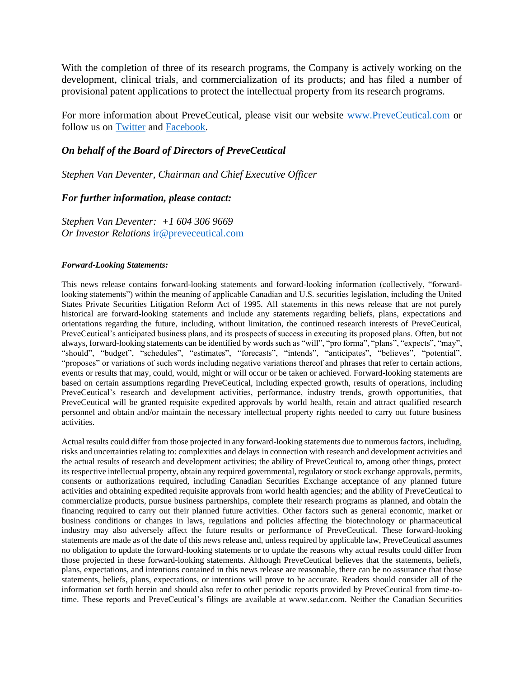With the completion of three of its research programs, the Company is actively working on the development, clinical trials, and commercialization of its products; and has filed a number of provisional patent applications to protect the intellectual property from its research programs.

For more information about PreveCeutical, please visit our website [www.PreveCeutical.com](http://www.preveceutical.com/) or follow us on [Twitter](http://twitter.com/PreveCeuticals) and [Facebook.](http://www.facebook.com/PreveCeutical)

# *On behalf of the Board of Directors of PreveCeutical*

*Stephen Van Deventer, Chairman and Chief Executive Officer*

### *For further information, please contact:*

*Stephen Van Deventer: +1 604 306 9669 Or Investor Relations* [ir@preveceutical.com](mailto:ir@preveceutical.com)

#### *Forward-Looking Statements:*

This news release contains forward-looking statements and forward-looking information (collectively, "forwardlooking statements") within the meaning of applicable Canadian and U.S. securities legislation, including the United States Private Securities Litigation Reform Act of 1995. All statements in this news release that are not purely historical are forward-looking statements and include any statements regarding beliefs, plans, expectations and orientations regarding the future, including, without limitation, the continued research interests of PreveCeutical, PreveCeutical's anticipated business plans, and its prospects of success in executing its proposed plans. Often, but not always, forward-looking statements can be identified by words such as "will", "pro forma", "plans", "expects", "may", "should", "budget", "schedules", "estimates", "forecasts", "intends", "anticipates", "believes", "potential", "proposes" or variations of such words including negative variations thereof and phrases that refer to certain actions, events or results that may, could, would, might or will occur or be taken or achieved. Forward-looking statements are based on certain assumptions regarding PreveCeutical, including expected growth, results of operations, including PreveCeutical's research and development activities, performance, industry trends, growth opportunities, that PreveCeutical will be granted requisite expedited approvals by world health, retain and attract qualified research personnel and obtain and/or maintain the necessary intellectual property rights needed to carry out future business activities.

Actual results could differ from those projected in any forward-looking statements due to numerous factors, including, risks and uncertainties relating to: complexities and delays in connection with research and development activities and the actual results of research and development activities; the ability of PreveCeutical to, among other things, protect its respective intellectual property, obtain any required governmental, regulatory or stock exchange approvals, permits, consents or authorizations required, including Canadian Securities Exchange acceptance of any planned future activities and obtaining expedited requisite approvals from world health agencies; and the ability of PreveCeutical to commercialize products, pursue business partnerships, complete their research programs as planned, and obtain the financing required to carry out their planned future activities. Other factors such as general economic, market or business conditions or changes in laws, regulations and policies affecting the biotechnology or pharmaceutical industry may also adversely affect the future results or performance of PreveCeutical. These forward-looking statements are made as of the date of this news release and, unless required by applicable law, PreveCeutical assumes no obligation to update the forward-looking statements or to update the reasons why actual results could differ from those projected in these forward-looking statements. Although PreveCeutical believes that the statements, beliefs, plans, expectations, and intentions contained in this news release are reasonable, there can be no assurance that those statements, beliefs, plans, expectations, or intentions will prove to be accurate. Readers should consider all of the information set forth herein and should also refer to other periodic reports provided by PreveCeutical from time-totime. These reports and PreveCeutical's filings are available at www.sedar.com. Neither the Canadian Securities